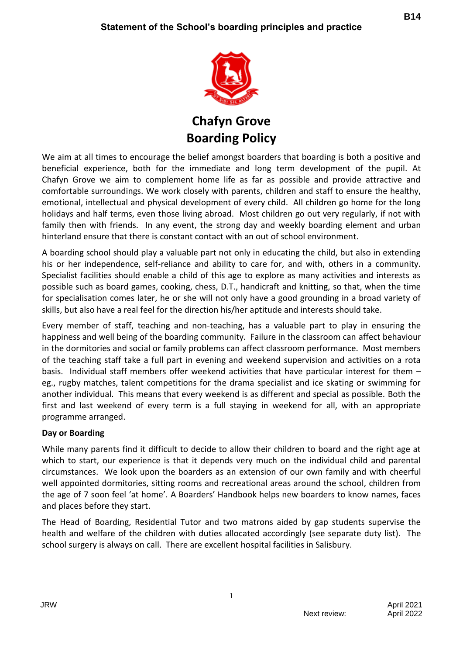

**Chafyn Grove Boarding Policy**

We aim at all times to encourage the belief amongst boarders that boarding is both a positive and beneficial experience, both for the immediate and long term development of the pupil. At Chafyn Grove we aim to complement home life as far as possible and provide attractive and comfortable surroundings. We work closely with parents, children and staff to ensure the healthy, emotional, intellectual and physical development of every child. All children go home for the long holidays and half terms, even those living abroad. Most children go out very regularly, if not with family then with friends. In any event, the strong day and weekly boarding element and urban hinterland ensure that there is constant contact with an out of school environment.

A boarding school should play a valuable part not only in educating the child, but also in extending his or her independence, self-reliance and ability to care for, and with, others in a community. Specialist facilities should enable a child of this age to explore as many activities and interests as possible such as board games, cooking, chess, D.T., handicraft and knitting, so that, when the time for specialisation comes later, he or she will not only have a good grounding in a broad variety of skills, but also have a real feel for the direction his/her aptitude and interests should take.

Every member of staff, teaching and non-teaching, has a valuable part to play in ensuring the happiness and well being of the boarding community. Failure in the classroom can affect behaviour in the dormitories and social or family problems can affect classroom performance. Most members of the teaching staff take a full part in evening and weekend supervision and activities on a rota basis. Individual staff members offer weekend activities that have particular interest for them – eg., rugby matches, talent competitions for the drama specialist and ice skating or swimming for another individual. This means that every weekend is as different and special as possible. Both the first and last weekend of every term is a full staying in weekend for all, with an appropriate programme arranged.

## **Day or Boarding**

While many parents find it difficult to decide to allow their children to board and the right age at which to start, our experience is that it depends very much on the individual child and parental circumstances. We look upon the boarders as an extension of our own family and with cheerful well appointed dormitories, sitting rooms and recreational areas around the school, children from the age of 7 soon feel 'at home'. A Boarders' Handbook helps new boarders to know names, faces and places before they start.

The Head of Boarding, Residential Tutor and two matrons aided by gap students supervise the health and welfare of the children with duties allocated accordingly (see separate duty list). The school surgery is always on call. There are excellent hospital facilities in Salisbury.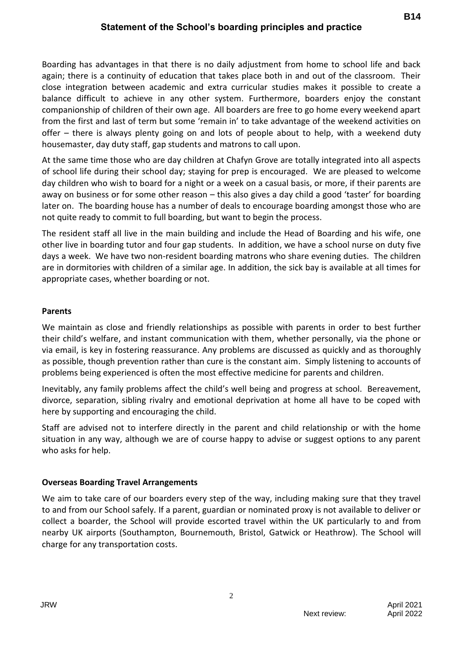Boarding has advantages in that there is no daily adjustment from home to school life and back again; there is a continuity of education that takes place both in and out of the classroom. Their close integration between academic and extra curricular studies makes it possible to create a balance difficult to achieve in any other system. Furthermore, boarders enjoy the constant companionship of children of their own age. All boarders are free to go home every weekend apart from the first and last of term but some 'remain in' to take advantage of the weekend activities on offer – there is always plenty going on and lots of people about to help, with a weekend duty housemaster, day duty staff, gap students and matrons to call upon.

At the same time those who are day children at Chafyn Grove are totally integrated into all aspects of school life during their school day; staying for prep is encouraged. We are pleased to welcome day children who wish to board for a night or a week on a casual basis, or more, if their parents are away on business or for some other reason – this also gives a day child a good 'taster' for boarding later on. The boarding house has a number of deals to encourage boarding amongst those who are not quite ready to commit to full boarding, but want to begin the process.

The resident staff all live in the main building and include the Head of Boarding and his wife, one other live in boarding tutor and four gap students. In addition, we have a school nurse on duty five days a week. We have two non-resident boarding matrons who share evening duties. The children are in dormitories with children of a similar age. In addition, the sick bay is available at all times for appropriate cases, whether boarding or not.

## **Parents**

We maintain as close and friendly relationships as possible with parents in order to best further their child's welfare, and instant communication with them, whether personally, via the phone or via email, is key in fostering reassurance. Any problems are discussed as quickly and as thoroughly as possible, though prevention rather than cure is the constant aim. Simply listening to accounts of problems being experienced is often the most effective medicine for parents and children.

Inevitably, any family problems affect the child's well being and progress at school. Bereavement, divorce, separation, sibling rivalry and emotional deprivation at home all have to be coped with here by supporting and encouraging the child.

Staff are advised not to interfere directly in the parent and child relationship or with the home situation in any way, although we are of course happy to advise or suggest options to any parent who asks for help.

## **Overseas Boarding Travel Arrangements**

We aim to take care of our boarders every step of the way, including making sure that they travel to and from our School safely. If a parent, guardian or nominated proxy is not available to deliver or collect a boarder, the School will provide escorted travel within the UK particularly to and from nearby UK airports (Southampton, Bournemouth, Bristol, Gatwick or Heathrow). The School will charge for any transportation costs.

2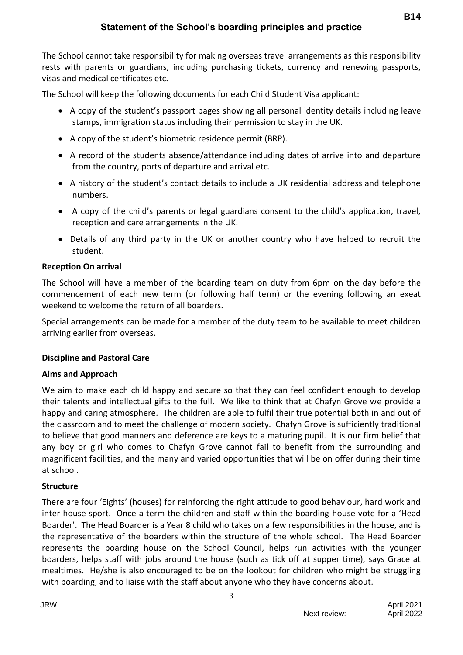## **Statement of the School's boarding principles and practice**

The School cannot take responsibility for making overseas travel arrangements as this responsibility rests with parents or guardians, including purchasing tickets, currency and renewing passports, visas and medical certificates etc.

The School will keep the following documents for each Child Student Visa applicant:

- A copy of the student's passport pages showing all personal identity details including leave stamps, immigration status including their permission to stay in the UK.
- A copy of the student's biometric residence permit (BRP).
- A record of the students absence/attendance including dates of arrive into and departure from the country, ports of departure and arrival etc.
- A history of the student's contact details to include a UK residential address and telephone numbers.
- A copy of the child's parents or legal guardians consent to the child's application, travel, reception and care arrangements in the UK.
- Details of any third party in the UK or another country who have helped to recruit the student.

#### **Reception On arrival**

The School will have a member of the boarding team on duty from 6pm on the day before the commencement of each new term (or following half term) or the evening following an exeat weekend to welcome the return of all boarders.

Special arrangements can be made for a member of the duty team to be available to meet children arriving earlier from overseas.

#### **Discipline and Pastoral Care**

#### **Aims and Approach**

We aim to make each child happy and secure so that they can feel confident enough to develop their talents and intellectual gifts to the full. We like to think that at Chafyn Grove we provide a happy and caring atmosphere. The children are able to fulfil their true potential both in and out of the classroom and to meet the challenge of modern society. Chafyn Grove is sufficiently traditional to believe that good manners and deference are keys to a maturing pupil. It is our firm belief that any boy or girl who comes to Chafyn Grove cannot fail to benefit from the surrounding and magnificent facilities, and the many and varied opportunities that will be on offer during their time at school.

#### **Structure**

There are four 'Eights' (houses) for reinforcing the right attitude to good behaviour, hard work and inter-house sport. Once a term the children and staff within the boarding house vote for a 'Head Boarder'. The Head Boarder is a Year 8 child who takes on a few responsibilities in the house, and is the representative of the boarders within the structure of the whole school. The Head Boarder represents the boarding house on the School Council, helps run activities with the younger boarders, helps staff with jobs around the house (such as tick off at supper time), says Grace at mealtimes. He/she is also encouraged to be on the lookout for children who might be struggling with boarding, and to liaise with the staff about anyone who they have concerns about.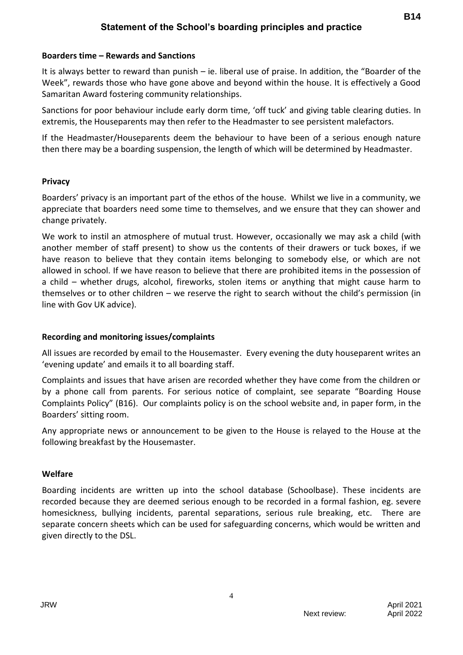#### **Boarders time – Rewards and Sanctions**

It is always better to reward than punish – ie. liberal use of praise. In addition, the "Boarder of the Week", rewards those who have gone above and beyond within the house. It is effectively a Good Samaritan Award fostering community relationships.

Sanctions for poor behaviour include early dorm time, 'off tuck' and giving table clearing duties. In extremis, the Houseparents may then refer to the Headmaster to see persistent malefactors.

If the Headmaster/Houseparents deem the behaviour to have been of a serious enough nature then there may be a boarding suspension, the length of which will be determined by Headmaster.

#### **Privacy**

Boarders' privacy is an important part of the ethos of the house. Whilst we live in a community, we appreciate that boarders need some time to themselves, and we ensure that they can shower and change privately.

We work to instil an atmosphere of mutual trust. However, occasionally we may ask a child (with another member of staff present) to show us the contents of their drawers or tuck boxes, if we have reason to believe that they contain items belonging to somebody else, or which are not allowed in school. If we have reason to believe that there are prohibited items in the possession of a child – whether drugs, alcohol, fireworks, stolen items or anything that might cause harm to themselves or to other children – we reserve the right to search without the child's permission (in line with Gov UK advice).

## **Recording and monitoring issues/complaints**

All issues are recorded by email to the Housemaster. Every evening the duty houseparent writes an 'evening update' and emails it to all boarding staff.

Complaints and issues that have arisen are recorded whether they have come from the children or by a phone call from parents. For serious notice of complaint, see separate "Boarding House Complaints Policy" (B16). Our complaints policy is on the school website and, in paper form, in the Boarders' sitting room.

Any appropriate news or announcement to be given to the House is relayed to the House at the following breakfast by the Housemaster.

## **Welfare**

Boarding incidents are written up into the school database (Schoolbase). These incidents are recorded because they are deemed serious enough to be recorded in a formal fashion, eg. severe homesickness, bullying incidents, parental separations, serious rule breaking, etc. There are separate concern sheets which can be used for safeguarding concerns, which would be written and given directly to the DSL.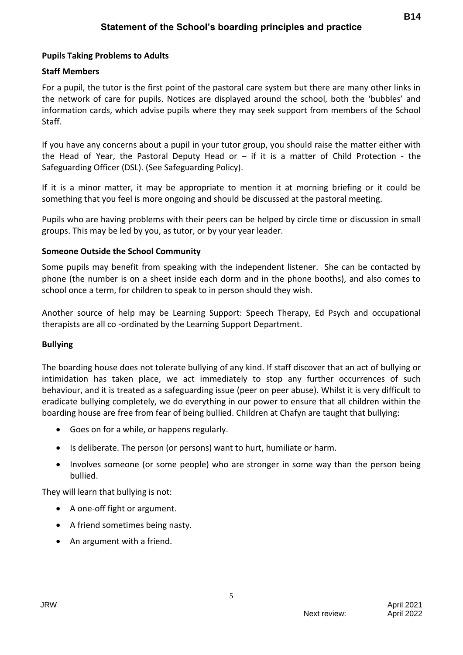## **Pupils Taking Problems to Adults**

## **Staff Members**

For a pupil, the tutor is the first point of the pastoral care system but there are many other links in the network of care for pupils. Notices are displayed around the school, both the 'bubbles' and information cards, which advise pupils where they may seek support from members of the School Staff.

If you have any concerns about a pupil in your tutor group, you should raise the matter either with the Head of Year, the Pastoral Deputy Head or  $-$  if it is a matter of Child Protection - the Safeguarding Officer (DSL). (See Safeguarding Policy).

If it is a minor matter, it may be appropriate to mention it at morning briefing or it could be something that you feel is more ongoing and should be discussed at the pastoral meeting.

Pupils who are having problems with their peers can be helped by circle time or discussion in small groups. This may be led by you, as tutor, or by your year leader.

#### **Someone Outside the School Community**

Some pupils may benefit from speaking with the independent listener. She can be contacted by phone (the number is on a sheet inside each dorm and in the phone booths), and also comes to school once a term, for children to speak to in person should they wish.

Another source of help may be Learning Support: Speech Therapy, Ed Psych and occupational therapists are all co -ordinated by the Learning Support Department.

#### **Bullying**

The boarding house does not tolerate bullying of any kind. If staff discover that an act of bullying or intimidation has taken place, we act immediately to stop any further occurrences of such behaviour, and it is treated as a safeguarding issue (peer on peer abuse). Whilst it is very difficult to eradicate bullying completely, we do everything in our power to ensure that all children within the boarding house are free from fear of being bullied. Children at Chafyn are taught that bullying:

- Goes on for a while, or happens regularly.
- Is deliberate. The person (or persons) want to hurt, humiliate or harm.
- Involves someone (or some people) who are stronger in some way than the person being bullied.

5

They will learn that bullying is not:

- A one-off fight or argument.
- A friend sometimes being nasty.
- An argument with a friend.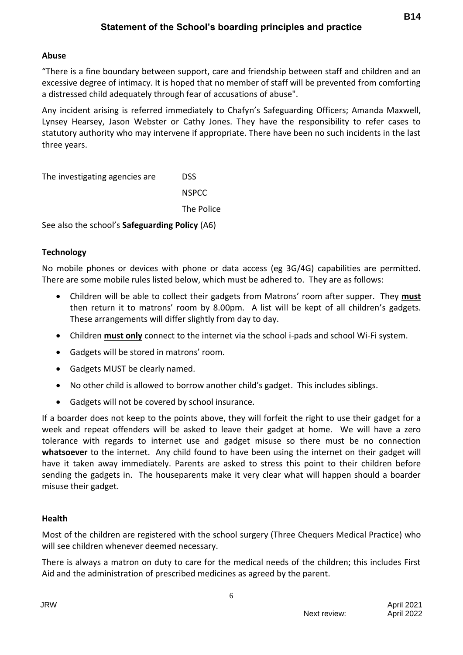## **Abuse**

"There is a fine boundary between support, care and friendship between staff and children and an excessive degree of intimacy. It is hoped that no member of staff will be prevented from comforting a distressed child adequately through fear of accusations of abuse".

Any incident arising is referred immediately to Chafyn's Safeguarding Officers; Amanda Maxwell, Lynsey Hearsey, Jason Webster or Cathy Jones. They have the responsibility to refer cases to statutory authority who may intervene if appropriate. There have been no such incidents in the last three years.

The investigating agencies are DSS

**NSPCC** The Police

See also the school's **Safeguarding Policy** (A6)

## **Technology**

No mobile phones or devices with phone or data access (eg 3G/4G) capabilities are permitted. There are some mobile rules listed below, which must be adhered to. They are as follows:

- Children will be able to collect their gadgets from Matrons' room after supper. They **must** then return it to matrons' room by 8.00pm. A list will be kept of all children's gadgets. These arrangements will differ slightly from day to day.
- Children **must only** connect to the internet via the school i-pads and school Wi-Fi system.
- Gadgets will be stored in matrons' room.
- Gadgets MUST be clearly named.
- No other child is allowed to borrow another child's gadget. This includes siblings.
- Gadgets will not be covered by school insurance.

If a boarder does not keep to the points above, they will forfeit the right to use their gadget for a week and repeat offenders will be asked to leave their gadget at home. We will have a zero tolerance with regards to internet use and gadget misuse so there must be no connection **whatsoever** to the internet. Any child found to have been using the internet on their gadget will have it taken away immediately. Parents are asked to stress this point to their children before sending the gadgets in. The houseparents make it very clear what will happen should a boarder misuse their gadget.

## **Health**

Most of the children are registered with the school surgery (Three Chequers Medical Practice) who will see children whenever deemed necessary.

There is always a matron on duty to care for the medical needs of the children; this includes First Aid and the administration of prescribed medicines as agreed by the parent.

6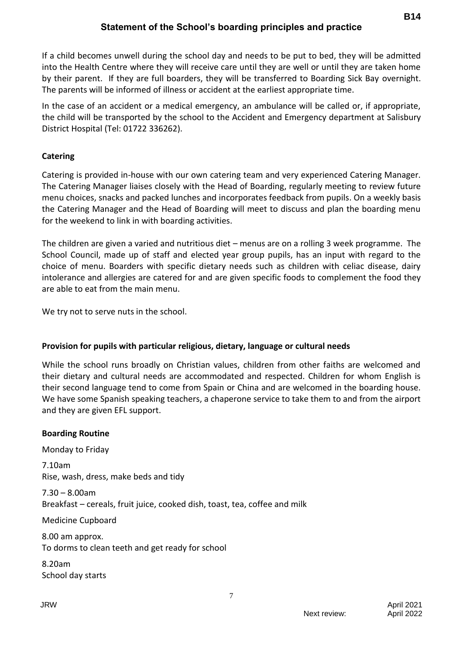## **Statement of the School's boarding principles and practice**

If a child becomes unwell during the school day and needs to be put to bed, they will be admitted into the Health Centre where they will receive care until they are well or until they are taken home by their parent. If they are full boarders, they will be transferred to Boarding Sick Bay overnight. The parents will be informed of illness or accident at the earliest appropriate time.

In the case of an accident or a medical emergency, an ambulance will be called or, if appropriate, the child will be transported by the school to the Accident and Emergency department at Salisbury District Hospital (Tel: 01722 336262).

## **Catering**

Catering is provided in-house with our own catering team and very experienced Catering Manager. The Catering Manager liaises closely with the Head of Boarding, regularly meeting to review future menu choices, snacks and packed lunches and incorporates feedback from pupils. On a weekly basis the Catering Manager and the Head of Boarding will meet to discuss and plan the boarding menu for the weekend to link in with boarding activities.

The children are given a varied and nutritious diet – menus are on a rolling 3 week programme. The School Council, made up of staff and elected year group pupils, has an input with regard to the choice of menu. Boarders with specific dietary needs such as children with celiac disease, dairy intolerance and allergies are catered for and are given specific foods to complement the food they are able to eat from the main menu.

We try not to serve nuts in the school.

## **Provision for pupils with particular religious, dietary, language or cultural needs**

While the school runs broadly on Christian values, children from other faiths are welcomed and their dietary and cultural needs are accommodated and respected. Children for whom English is their second language tend to come from Spain or China and are welcomed in the boarding house. We have some Spanish speaking teachers, a chaperone service to take them to and from the airport and they are given EFL support.

# **Boarding Routine** Monday to Friday 7.10am Rise, wash, dress, make beds and tidy 7.30 – 8.00am Breakfast – cereals, fruit juice, cooked dish, toast, tea, coffee and milk Medicine Cupboard 8.00 am approx. To dorms to clean teeth and get ready for school 8.20am

School day starts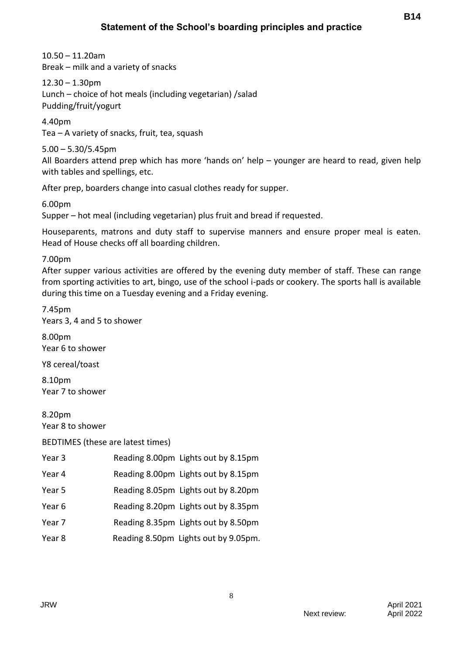10.50 – 11.20am Break – milk and a variety of snacks

 $12.30 - 1.30$ pm Lunch – choice of hot meals (including vegetarian) /salad Pudding/fruit/yogurt

4.40pm Tea – A variety of snacks, fruit, tea, squash

5.00 – 5.30/5.45pm All Boarders attend prep which has more 'hands on' help – younger are heard to read, given help with tables and spellings, etc.

After prep, boarders change into casual clothes ready for supper.

6.00pm

Supper – hot meal (including vegetarian) plus fruit and bread if requested.

Houseparents, matrons and duty staff to supervise manners and ensure proper meal is eaten. Head of House checks off all boarding children.

7.00pm

After supper various activities are offered by the evening duty member of staff. These can range from sporting activities to art, bingo, use of the school i-pads or cookery. The sports hall is available during this time on a Tuesday evening and a Friday evening.

8

7.45pm Years 3, 4 and 5 to shower

8.00pm Year 6 to shower

Y8 cereal/toast

8.10pm Year 7 to shower

8.20pm Year 8 to shower

BEDTIMES (these are latest times)

| Year <sub>3</sub> | Reading 8.00pm Lights out by 8.15pm  |
|-------------------|--------------------------------------|
| Year 4            | Reading 8.00pm Lights out by 8.15pm  |
| Year 5            | Reading 8.05pm Lights out by 8.20pm  |
| Year 6            | Reading 8.20pm Lights out by 8.35pm  |
| Year 7            | Reading 8.35pm Lights out by 8.50pm  |
| Year 8            | Reading 8.50pm Lights out by 9.05pm. |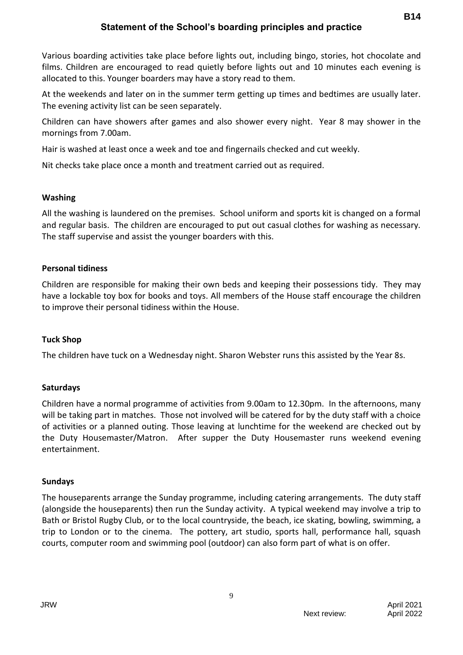## **Statement of the School's boarding principles and practice**

Various boarding activities take place before lights out, including bingo, stories, hot chocolate and films. Children are encouraged to read quietly before lights out and 10 minutes each evening is allocated to this. Younger boarders may have a story read to them.

At the weekends and later on in the summer term getting up times and bedtimes are usually later. The evening activity list can be seen separately.

Children can have showers after games and also shower every night. Year 8 may shower in the mornings from 7.00am.

Hair is washed at least once a week and toe and fingernails checked and cut weekly.

Nit checks take place once a month and treatment carried out as required.

#### **Washing**

All the washing is laundered on the premises. School uniform and sports kit is changed on a formal and regular basis. The children are encouraged to put out casual clothes for washing as necessary. The staff supervise and assist the younger boarders with this.

#### **Personal tidiness**

Children are responsible for making their own beds and keeping their possessions tidy. They may have a lockable toy box for books and toys. All members of the House staff encourage the children to improve their personal tidiness within the House.

#### **Tuck Shop**

The children have tuck on a Wednesday night. Sharon Webster runs this assisted by the Year 8s.

## **Saturdays**

Children have a normal programme of activities from 9.00am to 12.30pm. In the afternoons, many will be taking part in matches. Those not involved will be catered for by the duty staff with a choice of activities or a planned outing. Those leaving at lunchtime for the weekend are checked out by the Duty Housemaster/Matron. After supper the Duty Housemaster runs weekend evening entertainment.

#### **Sundays**

The houseparents arrange the Sunday programme, including catering arrangements. The duty staff (alongside the houseparents) then run the Sunday activity. A typical weekend may involve a trip to Bath or Bristol Rugby Club, or to the local countryside, the beach, ice skating, bowling, swimming, a trip to London or to the cinema. The pottery, art studio, sports hall, performance hall, squash courts, computer room and swimming pool (outdoor) can also form part of what is on offer.